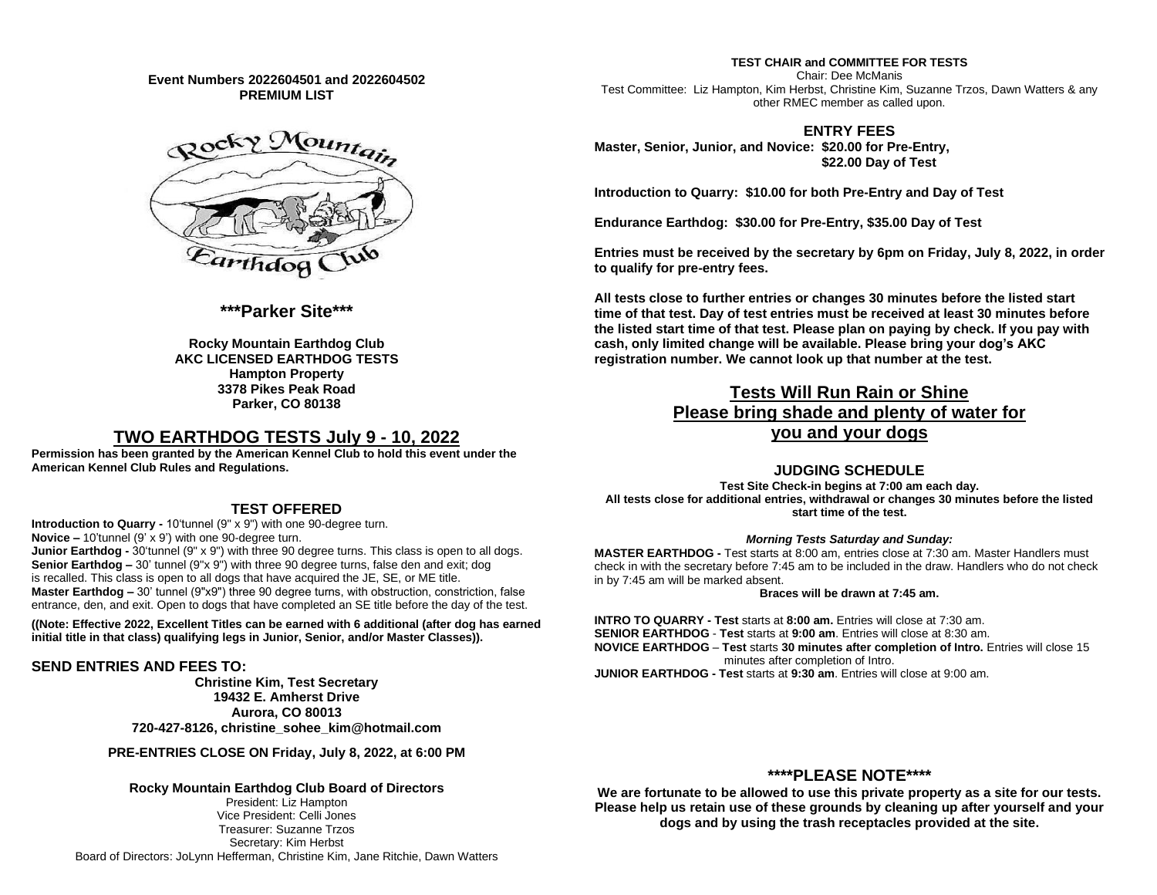**Event Numbers 2022604501 and 2022604502 PREMIUM LIST**



## **\*\*\*Parker Site\*\*\***

**Rocky Mountain Earthdog Club AKC LICENSED EARTHDOG TESTS Hampton Property 3378 Pikes Peak Road Parker, CO 80138**

# **TWO EARTHDOG TESTS July 9 - 10, 2022**

**Permission has been granted by the American Kennel Club to hold this event under the American Kennel Club Rules and Regulations.**

### **TEST OFFERED**

**Introduction to Quarry -** 10'tunnel (9" x 9") with one 90-degree turn. **Novice –** 10'tunnel (9' x 9') with one 90-degree turn. **Junior Earthdog -** 30'tunnel (9" x 9") with three 90 degree turns. This class is open to all dogs. **Senior Earthdog –** 30' tunnel (9"x 9") with three 90 degree turns, false den and exit; dog is recalled. This class is open to all dogs that have acquired the JE, SE, or ME title. **Master Earthdog –** 30' tunnel (9"x9") three 90 degree turns, with obstruction, constriction, false entrance, den, and exit. Open to dogs that have completed an SE title before the day of the test.

**((Note: Effective 2022, Excellent Titles can be earned with 6 additional (after dog has earned initial title in that class) qualifying legs in Junior, Senior, and/or Master Classes)).**

#### **SEND ENTRIES AND FEES TO:**

**Christine Kim, Test Secretary 19432 E. Amherst Drive Aurora, CO 80013 720-427-8126, christine\_sohee\_kim@hotmail.com**

**PRE-ENTRIES CLOSE ON Friday, July 8, 2022, at 6:00 PM**

### **Rocky Mountain Earthdog Club Board of Directors**

President: Liz Hampton Vice President: Celli Jones Treasurer: Suzanne Trzos Secretary: Kim Herbst Board of Directors: JoLynn Hefferman, Christine Kim, Jane Ritchie, Dawn Watters

**TEST CHAIR and COMMITTEE FOR TESTS** Chair: Dee McManis Test Committee: Liz Hampton, Kim Herbst, Christine Kim, Suzanne Trzos, Dawn Watters & any other RMEC member as called upon.

#### **ENTRY FEES**

**Master, Senior, Junior, and Novice: \$20.00 for Pre-Entry, \$22.00 Day of Test**

**Introduction to Quarry: \$10.00 for both Pre-Entry and Day of Test**

**Endurance Earthdog: \$30.00 for Pre-Entry, \$35.00 Day of Test**

**Entries must be received by the secretary by 6pm on Friday, July 8, 2022, in order to qualify for pre-entry fees.**

**All tests close to further entries or changes 30 minutes before the listed start time of that test. Day of test entries must be received at least 30 minutes before the listed start time of that test. Please plan on paying by check. If you pay with cash, only limited change will be available. Please bring your dog's AKC registration number. We cannot look up that number at the test.**

# **Tests Will Run Rain or Shine Please bring shade and plenty of water for you and your dogs**

### **JUDGING SCHEDULE**

**Test Site Check-in begins at 7:00 am each day. All tests close for additional entries, withdrawal or changes 30 minutes before the listed start time of the test.**

#### *Morning Tests Saturday and Sunday:*

**MASTER EARTHDOG -** Test starts at 8:00 am, entries close at 7:30 am. Master Handlers must check in with the secretary before 7:45 am to be included in the draw. Handlers who do not check in by 7:45 am will be marked absent.

#### **Braces will be drawn at 7:45 am.**

**INTRO TO QUARRY - Test** starts at **8:00 am.** Entries will close at 7:30 am. **SENIOR EARTHDOG** - **Test** starts at **9:00 am**. Entries will close at 8:30 am. **NOVICE EARTHDOG** – **Test** starts **30 minutes after completion of Intro.** Entries will close 15 minutes after completion of Intro. **JUNIOR EARTHDOG - Test** starts at **9:30 am**. Entries will close at 9:00 am.

## **\*\*\*\*PLEASE NOTE\*\*\*\***

**We are fortunate to be allowed to use this private property as a site for our tests. Please help us retain use of these grounds by cleaning up after yourself and your dogs and by using the trash receptacles provided at the site.**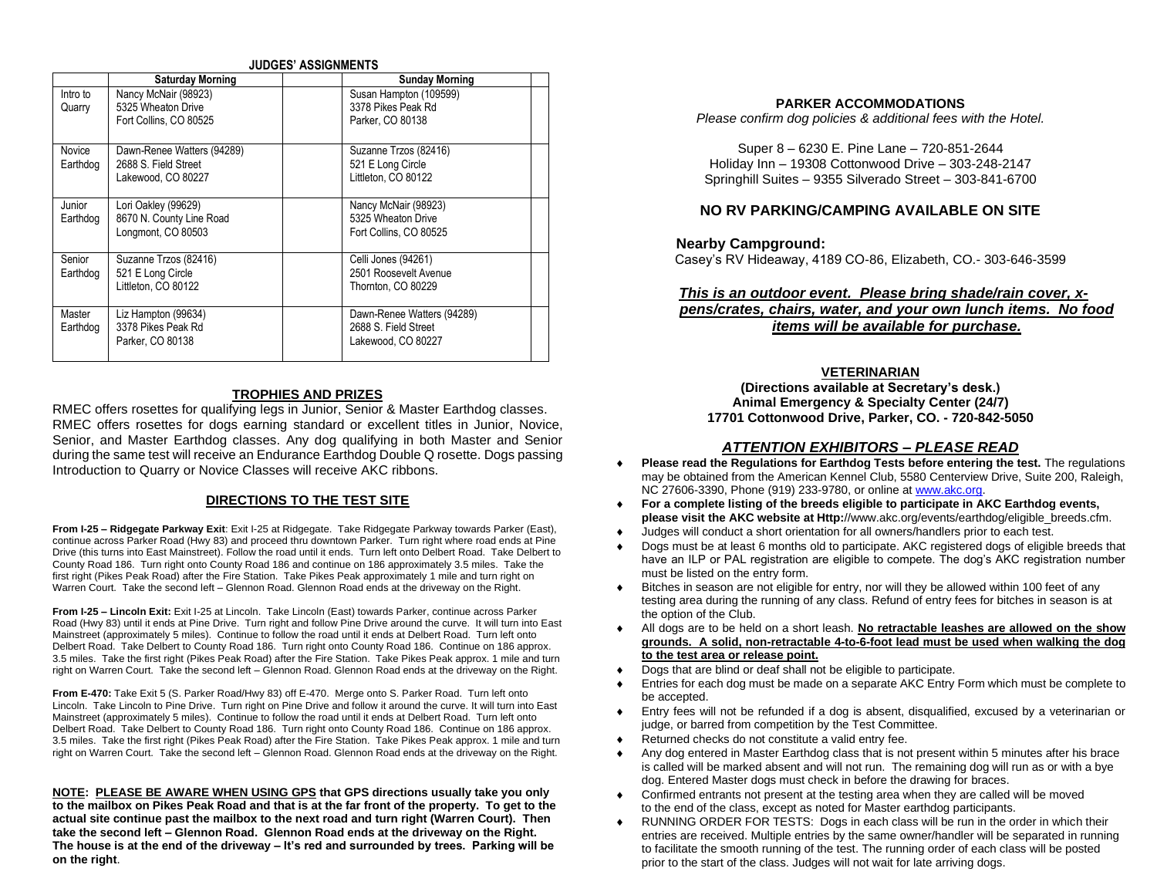#### **JUDGES' ASSIGNMENTS**

|                    | <b>Saturday Morning</b>                                                  | <b>Sunday Morning</b>                                                    |
|--------------------|--------------------------------------------------------------------------|--------------------------------------------------------------------------|
| Intro to<br>Quarry | Nancy McNair (98923)<br>5325 Wheaton Drive<br>Fort Collins, CO 80525     | Susan Hampton (109599)<br>3378 Pikes Peak Rd<br>Parker, CO 80138         |
| Novice<br>Earthdog | Dawn-Renee Watters (94289)<br>2688 S. Field Street<br>Lakewood, CO 80227 | Suzanne Trzos (82416)<br>521 E Long Circle<br>Littleton. CO 80122        |
| Junior<br>Earthdog | Lori Oakley (99629)<br>8670 N. County Line Road<br>Longmont, CO 80503    | Nancy McNair (98923)<br>5325 Wheaton Drive<br>Fort Collins, CO 80525     |
| Senior<br>Earthdog | Suzanne Trzos (82416)<br>521 E Long Circle<br>Littleton, CO 80122        | Celli Jones (94261)<br>2501 Roosevelt Avenue<br>Thornton, CO 80229       |
| Master<br>Earthdog | Liz Hampton (99634)<br>3378 Pikes Peak Rd<br>Parker, CO 80138            | Dawn-Renee Watters (94289)<br>2688 S. Field Street<br>Lakewood, CO 80227 |

#### **TROPHIES AND PRIZES**

RMEC offers rosettes for qualifying legs in Junior, Senior & Master Earthdog classes. RMEC offers rosettes for dogs earning standard or excellent titles in Junior, Novice, Senior, and Master Earthdog classes. Any dog qualifying in both Master and Senior during the same test will receive an Endurance Earthdog Double Q rosette. Dogs passing Introduction to Quarry or Novice Classes will receive AKC ribbons.

### **DIRECTIONS TO THE TEST SITE**

**From I-25 – Ridgegate Parkway Exit**: Exit I-25 at Ridgegate. Take Ridgegate Parkway towards Parker (East), continue across Parker Road (Hwy 83) and proceed thru downtown Parker. Turn right where road ends at Pine Drive (this turns into East Mainstreet). Follow the road until it ends. Turn left onto Delbert Road. Take Delbert to County Road 186. Turn right onto County Road 186 and continue on 186 approximately 3.5 miles. Take the first right (Pikes Peak Road) after the Fire Station. Take Pikes Peak approximately 1 mile and turn right on Warren Court. Take the second left – Glennon Road. Glennon Road ends at the driveway on the Right.

**From I-25 – Lincoln Exit:** Exit I-25 at Lincoln. Take Lincoln (East) towards Parker, continue across Parker Road (Hwy 83) until it ends at Pine Drive. Turn right and follow Pine Drive around the curve. It will turn into East Mainstreet (approximately 5 miles). Continue to follow the road until it ends at Delbert Road. Turn left onto Delbert Road. Take Delbert to County Road 186. Turn right onto County Road 186. Continue on 186 approx. 3.5 miles. Take the first right (Pikes Peak Road) after the Fire Station. Take Pikes Peak approx. 1 mile and turn right on Warren Court. Take the second left – Glennon Road. Glennon Road ends at the driveway on the Right.

**From E-470:** Take Exit 5 (S. Parker Road/Hwy 83) off E-470. Merge onto S. Parker Road. Turn left onto Lincoln. Take Lincoln to Pine Drive. Turn right on Pine Drive and follow it around the curve. It will turn into East Mainstreet (approximately 5 miles). Continue to follow the road until it ends at Delbert Road. Turn left onto Delbert Road. Take Delbert to County Road 186. Turn right onto County Road 186. Continue on 186 approx. 3.5 miles. Take the first right (Pikes Peak Road) after the Fire Station. Take Pikes Peak approx. 1 mile and turn right on Warren Court. Take the second left – Glennon Road. Glennon Road ends at the driveway on the Right.

**NOTE: PLEASE BE AWARE WHEN USING GPS that GPS directions usually take you only to the mailbox on Pikes Peak Road and that is at the far front of the property. To get to the actual site continue past the mailbox to the next road and turn right (Warren Court). Then take the second left – Glennon Road. Glennon Road ends at the driveway on the Right. The house is at the end of the driveway – It's red and surrounded by trees. Parking will be on the right**.

#### **PARKER ACCOMMODATIONS**

*Please confirm dog policies & additional fees with the Hotel.*

Super 8 – 6230 E. Pine Lane – 720-851-2644 Holiday Inn – 19308 Cottonwood Drive – 303-248-2147 Springhill Suites – 9355 Silverado Street – 303-841-6700

#### **NO RV PARKING/CAMPING AVAILABLE ON SITE**

#### **Nearby Campground:**

Casey's RV Hideaway, 4189 CO-86, Elizabeth, CO.- 303-646-3599

### *This is an outdoor event. Please bring shade/rain cover, xpens/crates, chairs, water, and your own lunch items. No food items will be available for purchase.*

#### **VETERINARIAN**

**(Directions available at Secretary's desk.) Animal Emergency & Specialty Center (24/7) 17701 Cottonwood Drive, Parker, CO. - 720-842-5050**

#### *ATTENTION EXHIBITORS – PLEASE READ*

- **Please read the Regulations for Earthdog Tests before entering the test.** The regulations may be obtained from the American Kennel Club, 5580 Centerview Drive, Suite 200, Raleigh, NC 27606-3390, Phone (919) 233-9780, or online at www.akc.org.
- **For a complete listing of the breeds eligible to participate in AKC Earthdog events, please visit the AKC website at Http:**//www.akc.org/events/earthdog/eligible\_breeds.cfm.
- Judges will conduct a short orientation for all owners/handlers prior to each test.
- Dogs must be at least 6 months old to participate. AKC registered dogs of eligible breeds that have an ILP or PAL registration are eligible to compete. The dog's AKC registration number must be listed on the entry form.
- Bitches in season are not eligible for entry, nor will they be allowed within 100 feet of any testing area during the running of any class. Refund of entry fees for bitches in season is at the option of the Club.
- All dogs are to be held on a short leash. **No retractable leashes are allowed on the show grounds. A solid, non-retractable 4-to-6-foot lead must be used when walking the dog to the test area or release point.**
- Dogs that are blind or deaf shall not be eligible to participate.
- Entries for each dog must be made on a separate AKC Entry Form which must be complete to be accepted.
- Entry fees will not be refunded if a dog is absent, disqualified, excused by a veterinarian or judge, or barred from competition by the Test Committee.
- Returned checks do not constitute a valid entry fee.
- Any dog entered in Master Earthdog class that is not present within 5 minutes after his brace is called will be marked absent and will not run. The remaining dog will run as or with a bye dog. Entered Master dogs must check in before the drawing for braces.
- Confirmed entrants not present at the testing area when they are called will be moved to the end of the class, except as noted for Master earthdog participants.
- RUNNING ORDER FOR TESTS: Dogs in each class will be run in the order in which their entries are received. Multiple entries by the same owner/handler will be separated in running to facilitate the smooth running of the test. The running order of each class will be posted prior to the start of the class. Judges will not wait for late arriving dogs.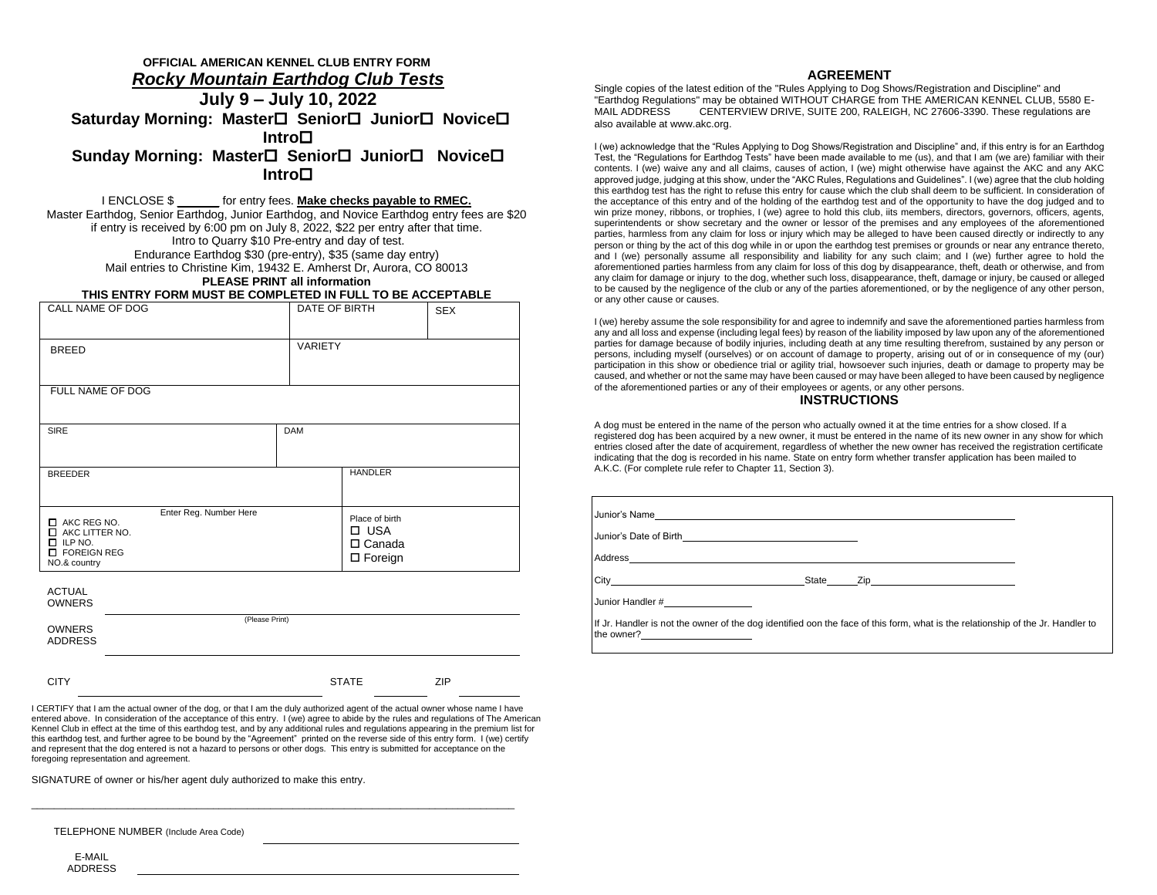# **OFFICIAL AMERICAN KENNEL CLUB ENTRY FORM** *Rocky Mountain Earthdog Club Tests* **July 9 – July 10, 2022 Saturday Morning: Master Senior Junior Novice Intro Sunday Morning: Master□ Senior□ Junior□ Novice□ Intro**

I ENCLOSE \$ \_\_ for entry fees. **Make checks payable to RMEC.** Master Earthdog, Senior Earthdog, Junior Earthdog, and Novice Earthdog entry fees are \$20 if entry is received by 6:00 pm on July 8, 2022, \$22 per entry after that time. Intro to Quarry \$10 Pre-entry and day of test. Endurance Earthdog \$30 (pre-entry), \$35 (same day entry) Mail entries to Christine Kim, 19432 E. Amherst Dr, Aurora, CO 80013 **PLEASE PRINT all information**

# **THIS ENTRY FORM MUST BE COMPLETED IN FULL TO BE ACCEPTABLE**

| CALL NAME OF DOG                                                                                                    | DATE OF BIRTH                                                   | <b>SEX</b> |
|---------------------------------------------------------------------------------------------------------------------|-----------------------------------------------------------------|------------|
| <b>BREED</b>                                                                                                        | VARIETY                                                         |            |
| FULL NAME OF DOG                                                                                                    |                                                                 |            |
| <b>SIRE</b>                                                                                                         | <b>DAM</b>                                                      |            |
| <b>BREEDER</b>                                                                                                      | <b>HANDLER</b>                                                  |            |
| Enter Reg. Number Here<br>T AKC REG NO.<br>AKC LITTER NO.<br>$\Box$ ILP NO.<br><b>T</b> FOREIGN REG<br>NO.& country | Place of birth<br>$\Box$ USA<br>$\Box$ Canada<br>$\Box$ Foreign |            |

**ACTUAL** OWNERS (Please Print) OWNERS ADDRESS CITY STATE ZIP

I CERTIFY that I am the actual owner of the dog, or that I am the duly authorized agent of the actual owner whose name I have entered above. In consideration of the acceptance of this entry. I (we) agree to abide by the rules and regulations of The American Kennel Club in effect at the time of this earthdog test, and by any additional rules and regulations appearing in the premium list for this earthdog test, and further agree to be bound by the "Agreement" printed on the reverse side of this entry form. I (we) certify and represent that the dog entered is not a hazard to persons or other dogs. This entry is submitted for acceptance on the foregoing representation and agreement.

\_\_\_\_\_\_\_\_\_\_\_\_\_\_\_\_\_\_\_\_\_\_\_\_\_\_\_\_\_\_\_\_\_\_\_\_\_\_\_\_\_\_\_\_\_\_\_\_\_\_\_\_\_\_\_\_\_\_\_\_\_\_\_\_\_\_\_\_\_\_\_\_\_\_\_\_\_\_\_\_\_\_\_\_\_

SIGNATURE of owner or his/her agent duly authorized to make this entry.

TELEPHONE NUMBER (Include Area Code)

E-MAIL ADDRESS

#### **AGREEMENT**

Single copies of the latest edition of the "Rules Applying to Dog Shows/Registration and Discipline" and "Earthdog Regulations" may be obtained WITHOUT CHARGE from THE AMERICAN KENNEL CLUB, 5580 E-CENTERVIEW DRIVE, SUITE 200, RALEIGH, NC 27606-3390. These regulations are also available at www.akc.org.

I (we) acknowledge that the "Rules Applying to Dog Shows/Registration and Discipline" and, if this entry is for an Earthdog Test, the "Regulations for Earthdog Tests" have been made available to me (us), and that I am (we are) familiar with their contents. I (we) waive any and all claims, causes of action, I (we) might otherwise have against the AKC and any AKC approved judge, judging at this show, under the "AKC Rules, Regulations and Guidelines". I (we) agree that the club holding this earthdog test has the right to refuse this entry for cause which the club shall deem to be sufficient. In consideration of the acceptance of this entry and of the holding of the earthdog test and of the opportunity to have the dog judged and to win prize money, ribbons, or trophies, I (we) agree to hold this club, iits members, directors, governors, officers, agents, superintendents or show secretary and the owner or lessor of the premises and any employees of the aforementioned parties, harmless from any claim for loss or injury which may be alleged to have been caused directly or indirectly to any person or thing by the act of this dog while in or upon the earthdog test premises or grounds or near any entrance thereto, and I (we) personally assume all responsibility and liability for any such claim; and I (we) further agree to hold the aforementioned parties harmless from any claim for loss of this dog by disappearance, theft, death or otherwise, and from any claim for damage or injury to the dog, whether such loss, disappearance, theft, damage or injury, be caused or alleged to be caused by the negligence of the club or any of the parties aforementioned, or by the negligence of any other person, or any other cause or causes.

I (we) hereby assume the sole responsibility for and agree to indemnify and save the aforementioned parties harmless from any and all loss and expense (including legal fees) by reason of the liability imposed by law upon any of the aforementioned parties for damage because of bodily injuries, including death at any time resulting therefrom, sustained by any person or persons, including myself (ourselves) or on account of damage to property, arising out of or in consequence of my (our) participation in this show or obedience trial or agility trial, howsoever such injuries, death or damage to property may be caused, and whether or not the same may have been caused or may have been alleged to have been caused by negligence of the aforementioned parties or any of their employees or agents, or any other persons.

#### **INSTRUCTIONS**

A dog must be entered in the name of the person who actually owned it at the time entries for a show closed. If a registered dog has been acquired by a new owner, it must be entered in the name of its new owner in any show for which entries closed after the date of acquirement, regardless of whether the new owner has received the registration certificate indicating that the dog is recorded in his name. State on entry form whether transfer application has been mailed to A.K.C. (For complete rule refer to Chapter 11, Section 3).

| City State Zip                                                                                                                                |  |  |
|-----------------------------------------------------------------------------------------------------------------------------------------------|--|--|
| Junior Handler #                                                                                                                              |  |  |
| If Jr. Handler is not the owner of the dog identified oon the face of this form, what is the relationship of the Jr. Handler to<br>the owner? |  |  |